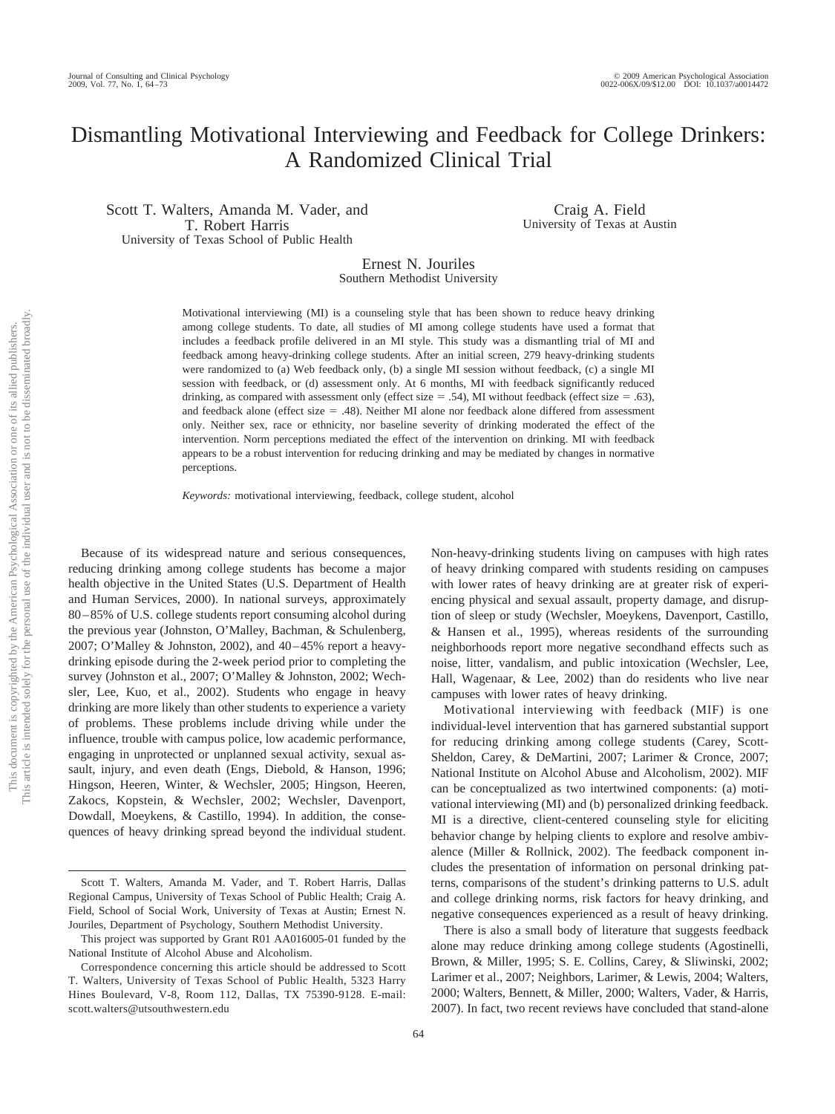# Dismantling Motivational Interviewing and Feedback for College Drinkers: A Randomized Clinical Trial

Scott T. Walters, Amanda M. Vader, and T. Robert Harris University of Texas School of Public Health

Craig A. Field University of Texas at Austin

Ernest N. Jouriles Southern Methodist University

Motivational interviewing (MI) is a counseling style that has been shown to reduce heavy drinking among college students. To date, all studies of MI among college students have used a format that includes a feedback profile delivered in an MI style. This study was a dismantling trial of MI and feedback among heavy-drinking college students. After an initial screen, 279 heavy-drinking students were randomized to (a) Web feedback only, (b) a single MI session without feedback, (c) a single MI session with feedback, or (d) assessment only. At 6 months, MI with feedback significantly reduced drinking, as compared with assessment only (effect size  $= .54$ ), MI without feedback (effect size  $= .63$ ), and feedback alone (effect size = .48). Neither MI alone nor feedback alone differed from assessment only. Neither sex, race or ethnicity, nor baseline severity of drinking moderated the effect of the intervention. Norm perceptions mediated the effect of the intervention on drinking. MI with feedback appears to be a robust intervention for reducing drinking and may be mediated by changes in normative perceptions.

*Keywords:* motivational interviewing, feedback, college student, alcohol

Because of its widespread nature and serious consequences, reducing drinking among college students has become a major health objective in the United States (U.S. Department of Health and Human Services, 2000). In national surveys, approximately 80 – 85% of U.S. college students report consuming alcohol during the previous year (Johnston, O'Malley, Bachman, & Schulenberg, 2007; O'Malley & Johnston, 2002), and  $40-45%$  report a heavydrinking episode during the 2-week period prior to completing the survey (Johnston et al., 2007; O'Malley & Johnston, 2002; Wechsler, Lee, Kuo, et al., 2002). Students who engage in heavy drinking are more likely than other students to experience a variety of problems. These problems include driving while under the influence, trouble with campus police, low academic performance, engaging in unprotected or unplanned sexual activity, sexual assault, injury, and even death (Engs, Diebold, & Hanson, 1996; Hingson, Heeren, Winter, & Wechsler, 2005; Hingson, Heeren, Zakocs, Kopstein, & Wechsler, 2002; Wechsler, Davenport, Dowdall, Moeykens, & Castillo, 1994). In addition, the consequences of heavy drinking spread beyond the individual student.

64

Non-heavy-drinking students living on campuses with high rates of heavy drinking compared with students residing on campuses with lower rates of heavy drinking are at greater risk of experiencing physical and sexual assault, property damage, and disruption of sleep or study (Wechsler, Moeykens, Davenport, Castillo, & Hansen et al., 1995), whereas residents of the surrounding neighborhoods report more negative secondhand effects such as noise, litter, vandalism, and public intoxication (Wechsler, Lee, Hall, Wagenaar, & Lee, 2002) than do residents who live near campuses with lower rates of heavy drinking.

Motivational interviewing with feedback (MIF) is one individual-level intervention that has garnered substantial support for reducing drinking among college students (Carey, Scott-Sheldon, Carey, & DeMartini, 2007; Larimer & Cronce, 2007; National Institute on Alcohol Abuse and Alcoholism, 2002). MIF can be conceptualized as two intertwined components: (a) motivational interviewing (MI) and (b) personalized drinking feedback. MI is a directive, client-centered counseling style for eliciting behavior change by helping clients to explore and resolve ambivalence (Miller & Rollnick, 2002). The feedback component includes the presentation of information on personal drinking patterns, comparisons of the student's drinking patterns to U.S. adult and college drinking norms, risk factors for heavy drinking, and negative consequences experienced as a result of heavy drinking.

There is also a small body of literature that suggests feedback alone may reduce drinking among college students (Agostinelli, Brown, & Miller, 1995; S. E. Collins, Carey, & Sliwinski, 2002; Larimer et al., 2007; Neighbors, Larimer, & Lewis, 2004; Walters, 2000; Walters, Bennett, & Miller, 2000; Walters, Vader, & Harris, 2007). In fact, two recent reviews have concluded that stand-alone

Scott T. Walters, Amanda M. Vader, and T. Robert Harris, Dallas Regional Campus, University of Texas School of Public Health; Craig A. Field, School of Social Work, University of Texas at Austin; Ernest N. Jouriles, Department of Psychology, Southern Methodist University.

This project was supported by Grant R01 AA016005-01 funded by the National Institute of Alcohol Abuse and Alcoholism.

Correspondence concerning this article should be addressed to Scott T. Walters, University of Texas School of Public Health, 5323 Harry Hines Boulevard, V-8, Room 112, Dallas, TX 75390-9128. E-mail: scott.walters@utsouthwestern.edu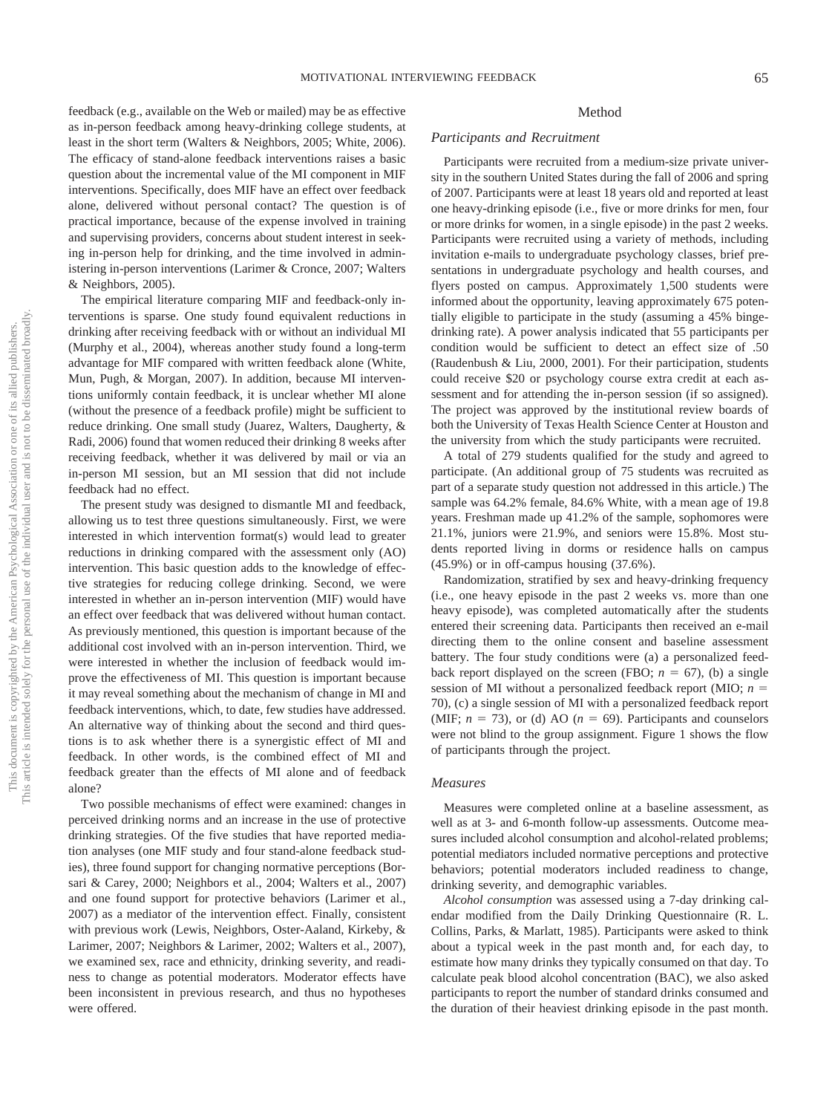feedback (e.g., available on the Web or mailed) may be as effective as in-person feedback among heavy-drinking college students, at least in the short term (Walters & Neighbors, 2005; White, 2006). The efficacy of stand-alone feedback interventions raises a basic question about the incremental value of the MI component in MIF interventions. Specifically, does MIF have an effect over feedback alone, delivered without personal contact? The question is of practical importance, because of the expense involved in training and supervising providers, concerns about student interest in seeking in-person help for drinking, and the time involved in administering in-person interventions (Larimer & Cronce, 2007; Walters & Neighbors, 2005).

The empirical literature comparing MIF and feedback-only interventions is sparse. One study found equivalent reductions in drinking after receiving feedback with or without an individual MI (Murphy et al., 2004), whereas another study found a long-term advantage for MIF compared with written feedback alone (White, Mun, Pugh, & Morgan, 2007). In addition, because MI interventions uniformly contain feedback, it is unclear whether MI alone (without the presence of a feedback profile) might be sufficient to reduce drinking. One small study (Juarez, Walters, Daugherty, & Radi, 2006) found that women reduced their drinking 8 weeks after receiving feedback, whether it was delivered by mail or via an in-person MI session, but an MI session that did not include feedback had no effect.

The present study was designed to dismantle MI and feedback, allowing us to test three questions simultaneously. First, we were interested in which intervention format(s) would lead to greater reductions in drinking compared with the assessment only (AO) intervention. This basic question adds to the knowledge of effective strategies for reducing college drinking. Second, we were interested in whether an in-person intervention (MIF) would have an effect over feedback that was delivered without human contact. As previously mentioned, this question is important because of the additional cost involved with an in-person intervention. Third, we were interested in whether the inclusion of feedback would improve the effectiveness of MI. This question is important because it may reveal something about the mechanism of change in MI and feedback interventions, which, to date, few studies have addressed. An alternative way of thinking about the second and third questions is to ask whether there is a synergistic effect of MI and feedback. In other words, is the combined effect of MI and feedback greater than the effects of MI alone and of feedback alone?

Two possible mechanisms of effect were examined: changes in perceived drinking norms and an increase in the use of protective drinking strategies. Of the five studies that have reported mediation analyses (one MIF study and four stand-alone feedback studies), three found support for changing normative perceptions (Borsari & Carey, 2000; Neighbors et al., 2004; Walters et al., 2007) and one found support for protective behaviors (Larimer et al., 2007) as a mediator of the intervention effect. Finally, consistent with previous work (Lewis, Neighbors, Oster-Aaland, Kirkeby, & Larimer, 2007; Neighbors & Larimer, 2002; Walters et al., 2007), we examined sex, race and ethnicity, drinking severity, and readiness to change as potential moderators. Moderator effects have been inconsistent in previous research, and thus no hypotheses were offered.

#### Method

#### *Participants and Recruitment*

Participants were recruited from a medium-size private university in the southern United States during the fall of 2006 and spring of 2007. Participants were at least 18 years old and reported at least one heavy-drinking episode (i.e., five or more drinks for men, four or more drinks for women, in a single episode) in the past 2 weeks. Participants were recruited using a variety of methods, including invitation e-mails to undergraduate psychology classes, brief presentations in undergraduate psychology and health courses, and flyers posted on campus. Approximately 1,500 students were informed about the opportunity, leaving approximately 675 potentially eligible to participate in the study (assuming a 45% bingedrinking rate). A power analysis indicated that 55 participants per condition would be sufficient to detect an effect size of .50 (Raudenbush & Liu, 2000, 2001). For their participation, students could receive \$20 or psychology course extra credit at each assessment and for attending the in-person session (if so assigned). The project was approved by the institutional review boards of both the University of Texas Health Science Center at Houston and the university from which the study participants were recruited.

A total of 279 students qualified for the study and agreed to participate. (An additional group of 75 students was recruited as part of a separate study question not addressed in this article.) The sample was 64.2% female, 84.6% White, with a mean age of 19.8 years. Freshman made up 41.2% of the sample, sophomores were 21.1%, juniors were 21.9%, and seniors were 15.8%. Most students reported living in dorms or residence halls on campus (45.9%) or in off-campus housing (37.6%).

Randomization, stratified by sex and heavy-drinking frequency (i.e., one heavy episode in the past 2 weeks vs. more than one heavy episode), was completed automatically after the students entered their screening data. Participants then received an e-mail directing them to the online consent and baseline assessment battery. The four study conditions were (a) a personalized feedback report displayed on the screen (FBO;  $n = 67$ ), (b) a single session of MI without a personalized feedback report (MIO; *n* 70), (c) a single session of MI with a personalized feedback report (MIF;  $n = 73$ ), or (d) AO ( $n = 69$ ). Participants and counselors were not blind to the group assignment. Figure 1 shows the flow of participants through the project.

## *Measures*

Measures were completed online at a baseline assessment, as well as at 3- and 6-month follow-up assessments. Outcome measures included alcohol consumption and alcohol-related problems; potential mediators included normative perceptions and protective behaviors; potential moderators included readiness to change, drinking severity, and demographic variables.

*Alcohol consumption* was assessed using a 7-day drinking calendar modified from the Daily Drinking Questionnaire (R. L. Collins, Parks, & Marlatt, 1985). Participants were asked to think about a typical week in the past month and, for each day, to estimate how many drinks they typically consumed on that day. To calculate peak blood alcohol concentration (BAC), we also asked participants to report the number of standard drinks consumed and the duration of their heaviest drinking episode in the past month.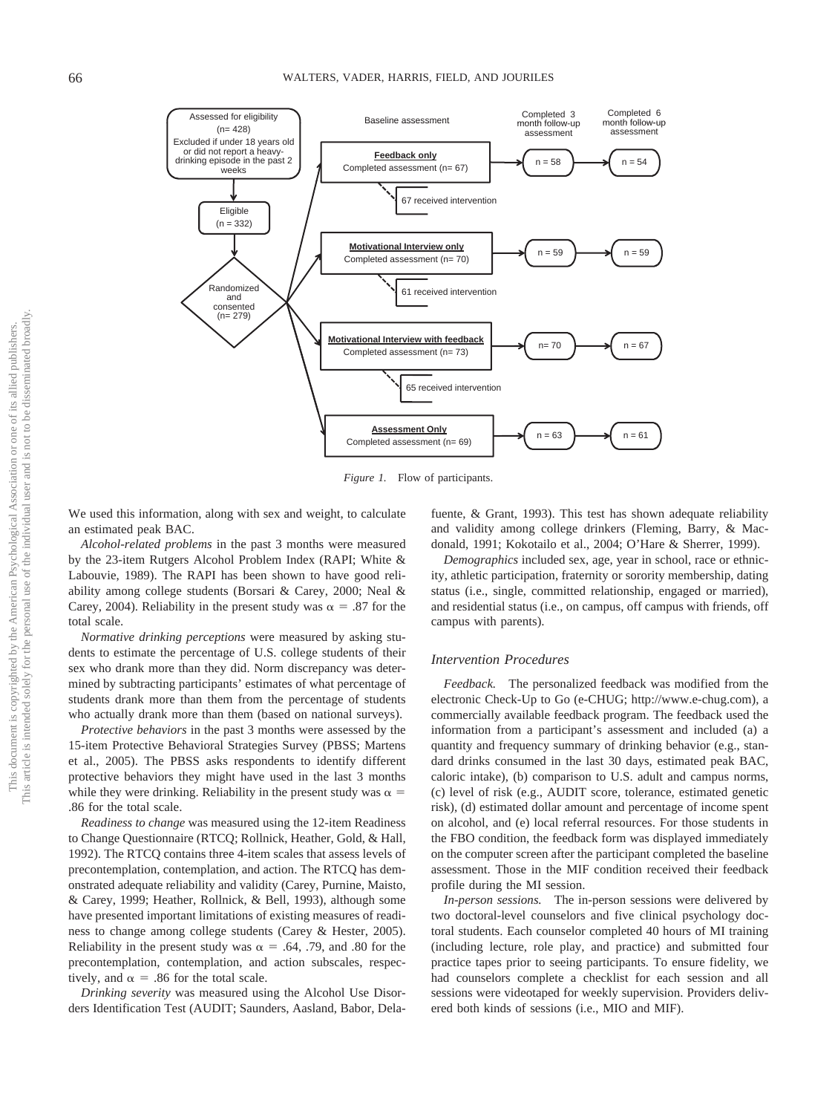

*Figure 1.* Flow of participants.

We used this information, along with sex and weight, to calculate an estimated peak BAC.

*Alcohol-related problems* in the past 3 months were measured by the 23-item Rutgers Alcohol Problem Index (RAPI; White & Labouvie, 1989). The RAPI has been shown to have good reliability among college students (Borsari & Carey, 2000; Neal & Carey, 2004). Reliability in the present study was  $\alpha = .87$  for the total scale.

*Normative drinking perceptions* were measured by asking students to estimate the percentage of U.S. college students of their sex who drank more than they did. Norm discrepancy was determined by subtracting participants' estimates of what percentage of students drank more than them from the percentage of students who actually drank more than them (based on national surveys).

*Protective behaviors* in the past 3 months were assessed by the 15-item Protective Behavioral Strategies Survey (PBSS; Martens et al., 2005). The PBSS asks respondents to identify different protective behaviors they might have used in the last 3 months while they were drinking. Reliability in the present study was  $\alpha =$ .86 for the total scale.

*Readiness to change* was measured using the 12-item Readiness to Change Questionnaire (RTCQ; Rollnick, Heather, Gold, & Hall, 1992). The RTCQ contains three 4-item scales that assess levels of precontemplation, contemplation, and action. The RTCQ has demonstrated adequate reliability and validity (Carey, Purnine, Maisto, & Carey, 1999; Heather, Rollnick, & Bell, 1993), although some have presented important limitations of existing measures of readiness to change among college students (Carey & Hester, 2005). Reliability in the present study was  $\alpha = .64, .79,$  and .80 for the precontemplation, contemplation, and action subscales, respectively, and  $\alpha = .86$  for the total scale.

*Drinking severity* was measured using the Alcohol Use Disorders Identification Test (AUDIT; Saunders, Aasland, Babor, Delafuente, & Grant, 1993). This test has shown adequate reliability and validity among college drinkers (Fleming, Barry, & Macdonald, 1991; Kokotailo et al., 2004; O'Hare & Sherrer, 1999).

*Demographics* included sex, age, year in school, race or ethnicity, athletic participation, fraternity or sorority membership, dating status (i.e., single, committed relationship, engaged or married), and residential status (i.e., on campus, off campus with friends, off campus with parents).

## *Intervention Procedures*

*Feedback.* The personalized feedback was modified from the electronic Check-Up to Go (e-CHUG; http://www.e-chug.com), a commercially available feedback program. The feedback used the information from a participant's assessment and included (a) a quantity and frequency summary of drinking behavior (e.g., standard drinks consumed in the last 30 days, estimated peak BAC, caloric intake), (b) comparison to U.S. adult and campus norms, (c) level of risk (e.g., AUDIT score, tolerance, estimated genetic risk), (d) estimated dollar amount and percentage of income spent on alcohol, and (e) local referral resources. For those students in the FBO condition, the feedback form was displayed immediately on the computer screen after the participant completed the baseline assessment. Those in the MIF condition received their feedback profile during the MI session.

*In-person sessions.* The in-person sessions were delivered by two doctoral-level counselors and five clinical psychology doctoral students. Each counselor completed 40 hours of MI training (including lecture, role play, and practice) and submitted four practice tapes prior to seeing participants. To ensure fidelity, we had counselors complete a checklist for each session and all sessions were videotaped for weekly supervision. Providers delivered both kinds of sessions (i.e., MIO and MIF).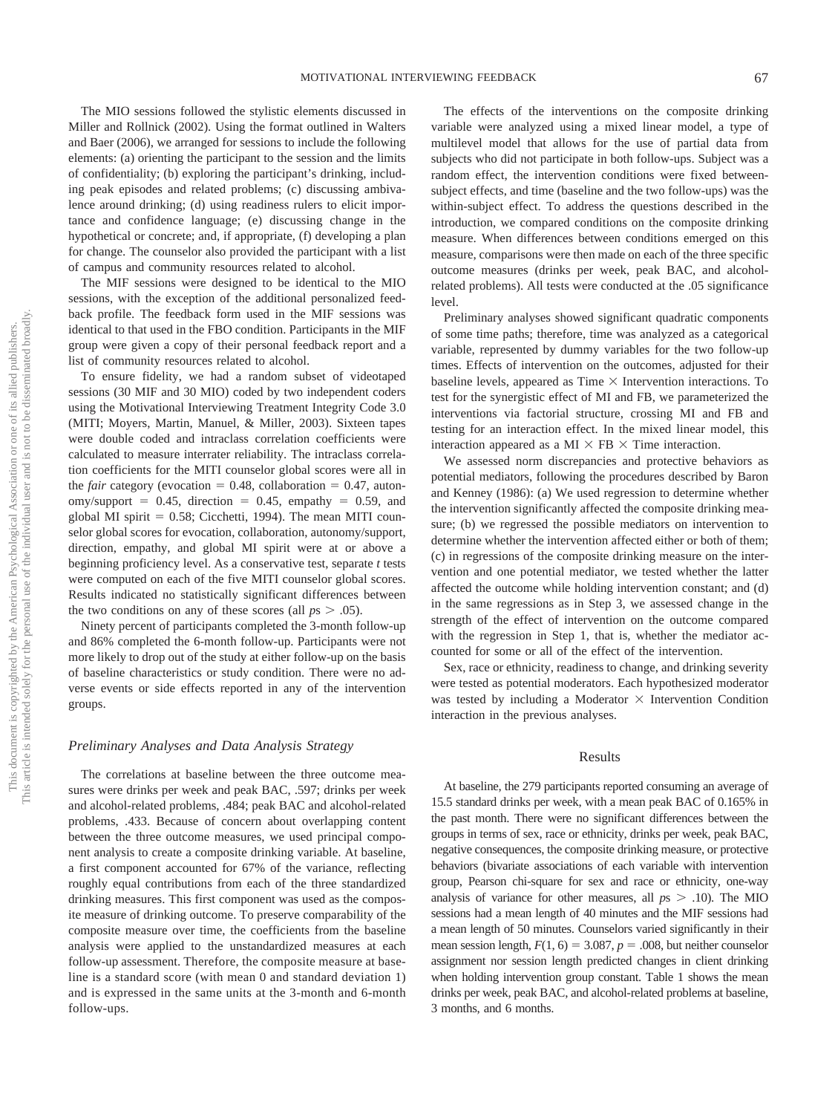The MIO sessions followed the stylistic elements discussed in Miller and Rollnick (2002). Using the format outlined in Walters and Baer (2006), we arranged for sessions to include the following elements: (a) orienting the participant to the session and the limits of confidentiality; (b) exploring the participant's drinking, including peak episodes and related problems; (c) discussing ambivalence around drinking; (d) using readiness rulers to elicit importance and confidence language; (e) discussing change in the hypothetical or concrete; and, if appropriate, (f) developing a plan for change. The counselor also provided the participant with a list of campus and community resources related to alcohol.

The MIF sessions were designed to be identical to the MIO sessions, with the exception of the additional personalized feedback profile. The feedback form used in the MIF sessions was identical to that used in the FBO condition. Participants in the MIF group were given a copy of their personal feedback report and a list of community resources related to alcohol.

To ensure fidelity, we had a random subset of videotaped sessions (30 MIF and 30 MIO) coded by two independent coders using the Motivational Interviewing Treatment Integrity Code 3.0 (MITI; Moyers, Martin, Manuel, & Miller, 2003). Sixteen tapes were double coded and intraclass correlation coefficients were calculated to measure interrater reliability. The intraclass correlation coefficients for the MITI counselor global scores were all in the *fair* category (evocation  $= 0.48$ , collaboration  $= 0.47$ , autonomy/support  $= 0.45$ , direction  $= 0.45$ , empathy  $= 0.59$ , and global MI spirit  $= 0.58$ ; Cicchetti, 1994). The mean MITI counselor global scores for evocation, collaboration, autonomy/support, direction, empathy, and global MI spirit were at or above a beginning proficiency level. As a conservative test, separate *t* tests were computed on each of the five MITI counselor global scores. Results indicated no statistically significant differences between the two conditions on any of these scores (all  $ps > .05$ ).

Ninety percent of participants completed the 3-month follow-up and 86% completed the 6-month follow-up. Participants were not more likely to drop out of the study at either follow-up on the basis of baseline characteristics or study condition. There were no adverse events or side effects reported in any of the intervention groups.

#### *Preliminary Analyses and Data Analysis Strategy*

The correlations at baseline between the three outcome measures were drinks per week and peak BAC, .597; drinks per week and alcohol-related problems, .484; peak BAC and alcohol-related problems, .433. Because of concern about overlapping content between the three outcome measures, we used principal component analysis to create a composite drinking variable. At baseline, a first component accounted for 67% of the variance, reflecting roughly equal contributions from each of the three standardized drinking measures. This first component was used as the composite measure of drinking outcome. To preserve comparability of the composite measure over time, the coefficients from the baseline analysis were applied to the unstandardized measures at each follow-up assessment. Therefore, the composite measure at baseline is a standard score (with mean 0 and standard deviation 1) and is expressed in the same units at the 3-month and 6-month follow-ups.

The effects of the interventions on the composite drinking variable were analyzed using a mixed linear model, a type of multilevel model that allows for the use of partial data from subjects who did not participate in both follow-ups. Subject was a random effect, the intervention conditions were fixed betweensubject effects, and time (baseline and the two follow-ups) was the within-subject effect. To address the questions described in the introduction, we compared conditions on the composite drinking measure. When differences between conditions emerged on this measure, comparisons were then made on each of the three specific outcome measures (drinks per week, peak BAC, and alcoholrelated problems). All tests were conducted at the .05 significance level.

Preliminary analyses showed significant quadratic components of some time paths; therefore, time was analyzed as a categorical variable, represented by dummy variables for the two follow-up times. Effects of intervention on the outcomes, adjusted for their baseline levels, appeared as Time  $\times$  Intervention interactions. To test for the synergistic effect of MI and FB, we parameterized the interventions via factorial structure, crossing MI and FB and testing for an interaction effect. In the mixed linear model, this interaction appeared as a MI  $\times$  FB  $\times$  Time interaction.

We assessed norm discrepancies and protective behaviors as potential mediators, following the procedures described by Baron and Kenney (1986): (a) We used regression to determine whether the intervention significantly affected the composite drinking measure; (b) we regressed the possible mediators on intervention to determine whether the intervention affected either or both of them; (c) in regressions of the composite drinking measure on the intervention and one potential mediator, we tested whether the latter affected the outcome while holding intervention constant; and (d) in the same regressions as in Step 3, we assessed change in the strength of the effect of intervention on the outcome compared with the regression in Step 1, that is, whether the mediator accounted for some or all of the effect of the intervention.

Sex, race or ethnicity, readiness to change, and drinking severity were tested as potential moderators. Each hypothesized moderator was tested by including a Moderator  $\times$  Intervention Condition interaction in the previous analyses.

#### Results

At baseline, the 279 participants reported consuming an average of 15.5 standard drinks per week, with a mean peak BAC of 0.165% in the past month. There were no significant differences between the groups in terms of sex, race or ethnicity, drinks per week, peak BAC, negative consequences, the composite drinking measure, or protective behaviors (bivariate associations of each variable with intervention group, Pearson chi-square for sex and race or ethnicity, one-way analysis of variance for other measures, all  $ps > .10$ ). The MIO sessions had a mean length of 40 minutes and the MIF sessions had a mean length of 50 minutes. Counselors varied significantly in their mean session length,  $F(1, 6) = 3.087$ ,  $p = .008$ , but neither counselor assignment nor session length predicted changes in client drinking when holding intervention group constant. Table 1 shows the mean drinks per week, peak BAC, and alcohol-related problems at baseline, 3 months, and 6 months.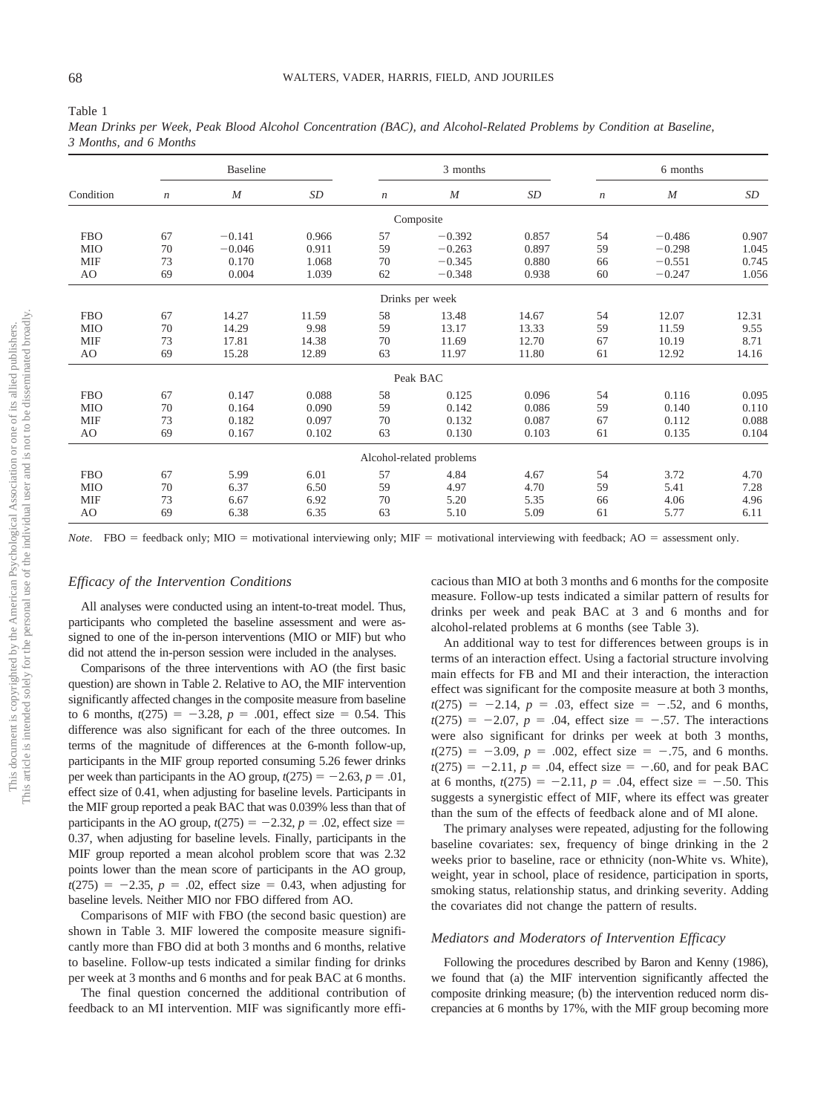|            | <b>Baseline</b>  |                  |       | 3 months         |                          |       | 6 months         |          |       |
|------------|------------------|------------------|-------|------------------|--------------------------|-------|------------------|----------|-------|
| Condition  | $\boldsymbol{n}$ | $\boldsymbol{M}$ | SD    | $\boldsymbol{n}$ | $\boldsymbol{M}$         | SD    | $\boldsymbol{n}$ | M        | SD    |
|            |                  |                  |       |                  | Composite                |       |                  |          |       |
| <b>FBO</b> | 67               | $-0.141$         | 0.966 | 57               | $-0.392$                 | 0.857 | 54               | $-0.486$ | 0.907 |
| <b>MIO</b> | 70               | $-0.046$         | 0.911 | 59               | $-0.263$                 | 0.897 | 59               | $-0.298$ | 1.045 |
| <b>MIF</b> | 73               | 0.170            | 1.068 | 70               | $-0.345$                 | 0.880 | 66               | $-0.551$ | 0.745 |
| AO         | 69               | 0.004            | 1.039 | 62               | $-0.348$                 | 0.938 | 60               | $-0.247$ | 1.056 |
|            |                  |                  |       |                  | Drinks per week          |       |                  |          |       |
| <b>FBO</b> | 67               | 14.27            | 11.59 | 58               | 13.48                    | 14.67 | 54               | 12.07    | 12.31 |
| <b>MIO</b> | 70               | 14.29            | 9.98  | 59               | 13.17                    | 13.33 | 59               | 11.59    | 9.55  |
| <b>MIF</b> | 73               | 17.81            | 14.38 | 70               | 11.69                    | 12.70 | 67               | 10.19    | 8.71  |
| AO         | 69               | 15.28            | 12.89 | 63               | 11.97                    | 11.80 | 61               | 12.92    | 14.16 |
|            |                  |                  |       |                  | Peak BAC                 |       |                  |          |       |
| <b>FBO</b> | 67               | 0.147            | 0.088 | 58               | 0.125                    | 0.096 | 54               | 0.116    | 0.095 |
| <b>MIO</b> | 70               | 0.164            | 0.090 | 59               | 0.142                    | 0.086 | 59               | 0.140    | 0.110 |
| <b>MIF</b> | 73               | 0.182            | 0.097 | 70               | 0.132                    | 0.087 | 67               | 0.112    | 0.088 |
| AO         | 69               | 0.167            | 0.102 | 63               | 0.130                    | 0.103 | 61               | 0.135    | 0.104 |
|            |                  |                  |       |                  | Alcohol-related problems |       |                  |          |       |
| <b>FBO</b> | 67               | 5.99             | 6.01  | 57               | 4.84                     | 4.67  | 54               | 3.72     | 4.70  |
| <b>MIO</b> | 70               | 6.37             | 6.50  | 59               | 4.97                     | 4.70  | 59               | 5.41     | 7.28  |
| <b>MIF</b> | 73               | 6.67             | 6.92  | 70               | 5.20                     | 5.35  | 66               | 4.06     | 4.96  |
| AO         | 69               | 6.38             | 6.35  | 63               | 5.10                     | 5.09  | 61               | 5.77     | 6.11  |

*Mean Drinks per Week, Peak Blood Alcohol Concentration (BAC), and Alcohol-Related Problems by Condition at Baseline, 3 Months, and 6 Months*

*Note*. FBO = feedback only; MIO = motivational interviewing only; MIF = motivational interviewing with feedback; AO = assessment only.

#### *Efficacy of the Intervention Conditions*

All analyses were conducted using an intent-to-treat model. Thus, participants who completed the baseline assessment and were assigned to one of the in-person interventions (MIO or MIF) but who did not attend the in-person session were included in the analyses.

Comparisons of the three interventions with AO (the first basic question) are shown in Table 2. Relative to AO, the MIF intervention significantly affected changes in the composite measure from baseline to 6 months,  $t(275) = -3.28$ ,  $p = .001$ , effect size  $= 0.54$ . This difference was also significant for each of the three outcomes. In terms of the magnitude of differences at the 6-month follow-up, participants in the MIF group reported consuming 5.26 fewer drinks per week than participants in the AO group,  $t(275) = -2.63$ ,  $p = .01$ , effect size of 0.41, when adjusting for baseline levels. Participants in the MIF group reported a peak BAC that was 0.039% less than that of participants in the AO group,  $t(275) = -2.32$ ,  $p = .02$ , effect size = 0.37, when adjusting for baseline levels. Finally, participants in the MIF group reported a mean alcohol problem score that was 2.32 points lower than the mean score of participants in the AO group,  $t(275) = -2.35$ ,  $p = .02$ , effect size = 0.43, when adjusting for baseline levels. Neither MIO nor FBO differed from AO.

Comparisons of MIF with FBO (the second basic question) are shown in Table 3. MIF lowered the composite measure significantly more than FBO did at both 3 months and 6 months, relative to baseline. Follow-up tests indicated a similar finding for drinks per week at 3 months and 6 months and for peak BAC at 6 months.

The final question concerned the additional contribution of feedback to an MI intervention. MIF was significantly more efficacious than MIO at both 3 months and 6 months for the composite measure. Follow-up tests indicated a similar pattern of results for drinks per week and peak BAC at 3 and 6 months and for alcohol-related problems at 6 months (see Table 3).

An additional way to test for differences between groups is in terms of an interaction effect. Using a factorial structure involving main effects for FB and MI and their interaction, the interaction effect was significant for the composite measure at both 3 months,  $t(275) = -2.14$ ,  $p = .03$ , effect size = -.52, and 6 months,  $t(275) = -2.07$ ,  $p = .04$ , effect size = -.57. The interactions were also significant for drinks per week at both 3 months,  $t(275) = -3.09$ ,  $p = .002$ , effect size = -.75, and 6 months.  $t(275) = -2.11$ ,  $p = .04$ , effect size = -.60, and for peak BAC at 6 months,  $t(275) = -2.11$ ,  $p = .04$ , effect size  $= -.50$ . This suggests a synergistic effect of MIF, where its effect was greater than the sum of the effects of feedback alone and of MI alone.

The primary analyses were repeated, adjusting for the following baseline covariates: sex, frequency of binge drinking in the 2 weeks prior to baseline, race or ethnicity (non-White vs. White), weight, year in school, place of residence, participation in sports, smoking status, relationship status, and drinking severity. Adding the covariates did not change the pattern of results.

#### *Mediators and Moderators of Intervention Efficacy*

Following the procedures described by Baron and Kenny (1986), we found that (a) the MIF intervention significantly affected the composite drinking measure; (b) the intervention reduced norm discrepancies at 6 months by 17%, with the MIF group becoming more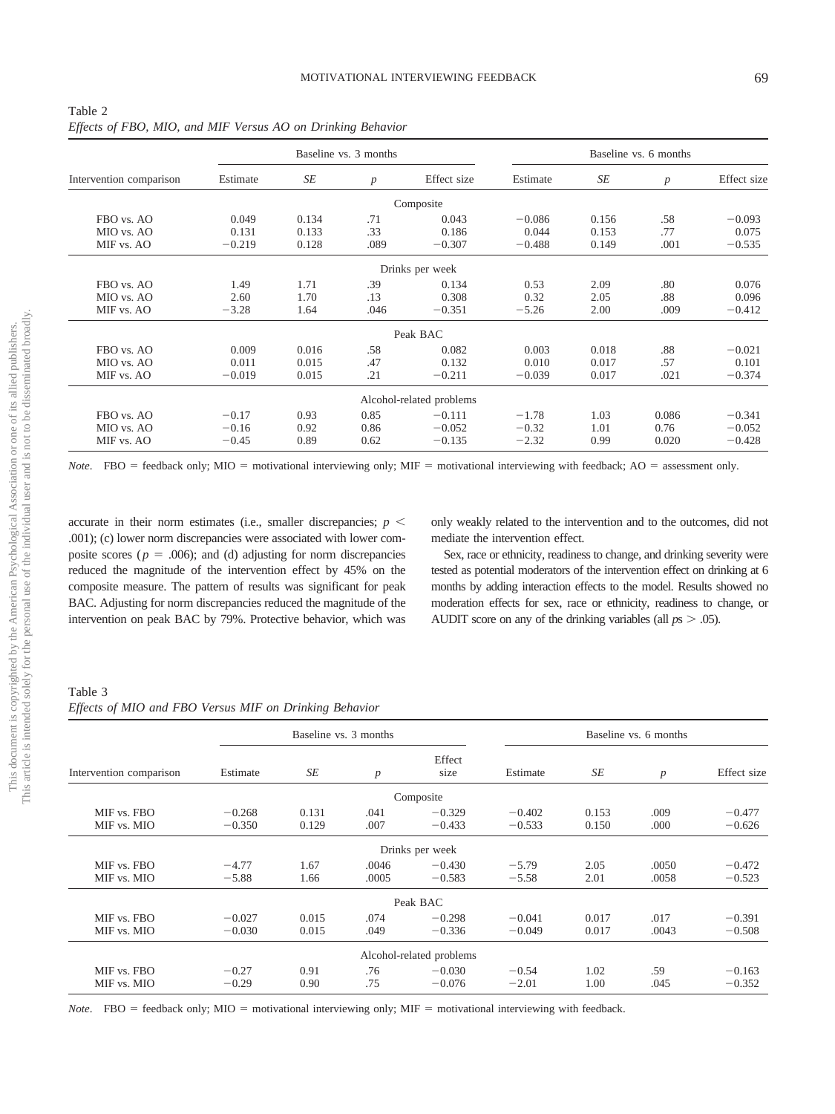| Table 2                                                     |  |  |  |  |
|-------------------------------------------------------------|--|--|--|--|
| Effects of FBO, MIO, and MIF Versus AO on Drinking Behavior |  |  |  |  |

|                         |          |           | Baseline vs. 3 months |                          |          |       | Baseline vs. 6 months |             |
|-------------------------|----------|-----------|-----------------------|--------------------------|----------|-------|-----------------------|-------------|
| Intervention comparison | Estimate | <b>SE</b> | $\boldsymbol{p}$      | Effect size              | Estimate | SE    | $\boldsymbol{p}$      | Effect size |
|                         |          |           |                       | Composite                |          |       |                       |             |
| FBO vs. AO              | 0.049    | 0.134     | .71                   | 0.043                    | $-0.086$ | 0.156 | .58                   | $-0.093$    |
| MIO vs. AO              | 0.131    | 0.133     | .33                   | 0.186                    | 0.044    | 0.153 | .77                   | 0.075       |
| MIF vs. AO              | $-0.219$ | 0.128     | .089                  | $-0.307$                 | $-0.488$ | 0.149 | .001                  | $-0.535$    |
|                         |          |           |                       | Drinks per week          |          |       |                       |             |
| FBO vs. AO              | 1.49     | 1.71      | .39                   | 0.134                    | 0.53     | 2.09  | .80                   | 0.076       |
| MIO vs. AO              | 2.60     | 1.70      | .13                   | 0.308                    | 0.32     | 2.05  | .88                   | 0.096       |
| MIF vs. AO              | $-3.28$  | 1.64      | .046                  | $-0.351$                 | $-5.26$  | 2.00  | .009                  | $-0.412$    |
|                         |          |           |                       | Peak BAC                 |          |       |                       |             |
| FBO vs. AO              | 0.009    | 0.016     | .58                   | 0.082                    | 0.003    | 0.018 | .88                   | $-0.021$    |
| MIO vs. AO              | 0.011    | 0.015     | .47                   | 0.132                    | 0.010    | 0.017 | .57                   | 0.101       |
| MIF vs. AO              | $-0.019$ | 0.015     | .21                   | $-0.211$                 | $-0.039$ | 0.017 | .021                  | $-0.374$    |
|                         |          |           |                       | Alcohol-related problems |          |       |                       |             |
| FBO vs. AO              | $-0.17$  | 0.93      | 0.85                  | $-0.111$                 | $-1.78$  | 1.03  | 0.086                 | $-0.341$    |
| MIO vs. AO              | $-0.16$  | 0.92      | 0.86                  | $-0.052$                 | $-0.32$  | 1.01  | 0.76                  | $-0.052$    |
| MIF vs. AO              | $-0.45$  | 0.89      | 0.62                  | $-0.135$                 | $-2.32$  | 0.99  | 0.020                 | $-0.428$    |

*Note*. FBO = feedback only; MIO = motivational interviewing only; MIF = motivational interviewing with feedback; AO = assessment only.

accurate in their norm estimates (i.e., smaller discrepancies;  $p <$ .001); (c) lower norm discrepancies were associated with lower composite scores ( $p = .006$ ); and (d) adjusting for norm discrepancies reduced the magnitude of the intervention effect by 45% on the composite measure. The pattern of results was significant for peak BAC. Adjusting for norm discrepancies reduced the magnitude of the intervention on peak BAC by 79%. Protective behavior, which was

only weakly related to the intervention and to the outcomes, did not mediate the intervention effect.

Sex, race or ethnicity, readiness to change, and drinking severity were tested as potential moderators of the intervention effect on drinking at 6 months by adding interaction effects to the model. Results showed no moderation effects for sex, race or ethnicity, readiness to change, or AUDIT score on any of the drinking variables (all  $ps > .05$ ).

# Table 3 *Effects of MIO and FBO Versus MIF on Drinking Behavior*

|                            |                      | Baseline vs. 3 months |                  |                          |                      |                | Baseline vs. 6 months |                      |
|----------------------------|----------------------|-----------------------|------------------|--------------------------|----------------------|----------------|-----------------------|----------------------|
| Intervention comparison    | Estimate             | SE                    | $\boldsymbol{p}$ | Effect<br>size           | Estimate             | SE             | $\boldsymbol{p}$      | Effect size          |
|                            |                      |                       |                  | Composite                |                      |                |                       |                      |
| MIF vs. FBO<br>MIF vs. MIO | $-0.268$<br>$-0.350$ | 0.131<br>0.129        | .041<br>.007     | $-0.329$<br>$-0.433$     | $-0.402$<br>$-0.533$ | 0.153<br>0.150 | .009<br>.000          | $-0.477$<br>$-0.626$ |
|                            |                      |                       |                  | Drinks per week          |                      |                |                       |                      |
| MIF vs. FBO<br>MIF vs. MIO | $-4.77$<br>$-5.88$   | 1.67<br>1.66          | .0046<br>.0005   | $-0.430$<br>$-0.583$     | $-5.79$<br>$-5.58$   | 2.05<br>2.01   | .0050<br>.0058        | $-0.472$<br>$-0.523$ |
|                            |                      |                       |                  | Peak BAC                 |                      |                |                       |                      |
| MIF vs. FBO<br>MIF vs. MIO | $-0.027$<br>$-0.030$ | 0.015<br>0.015        | .074<br>.049     | $-0.298$<br>$-0.336$     | $-0.041$<br>$-0.049$ | 0.017<br>0.017 | .017<br>.0043         | $-0.391$<br>$-0.508$ |
|                            |                      |                       |                  | Alcohol-related problems |                      |                |                       |                      |
| MIF vs. FBO<br>MIF vs. MIO | $-0.27$<br>$-0.29$   | 0.91<br>0.90          | .76<br>.75       | $-0.030$<br>$-0.076$     | $-0.54$<br>$-2.01$   | 1.02<br>1.00   | .59<br>.045           | $-0.163$<br>$-0.352$ |

*Note*. FBO = feedback only; MIO = motivational interviewing only; MIF = motivational interviewing with feedback.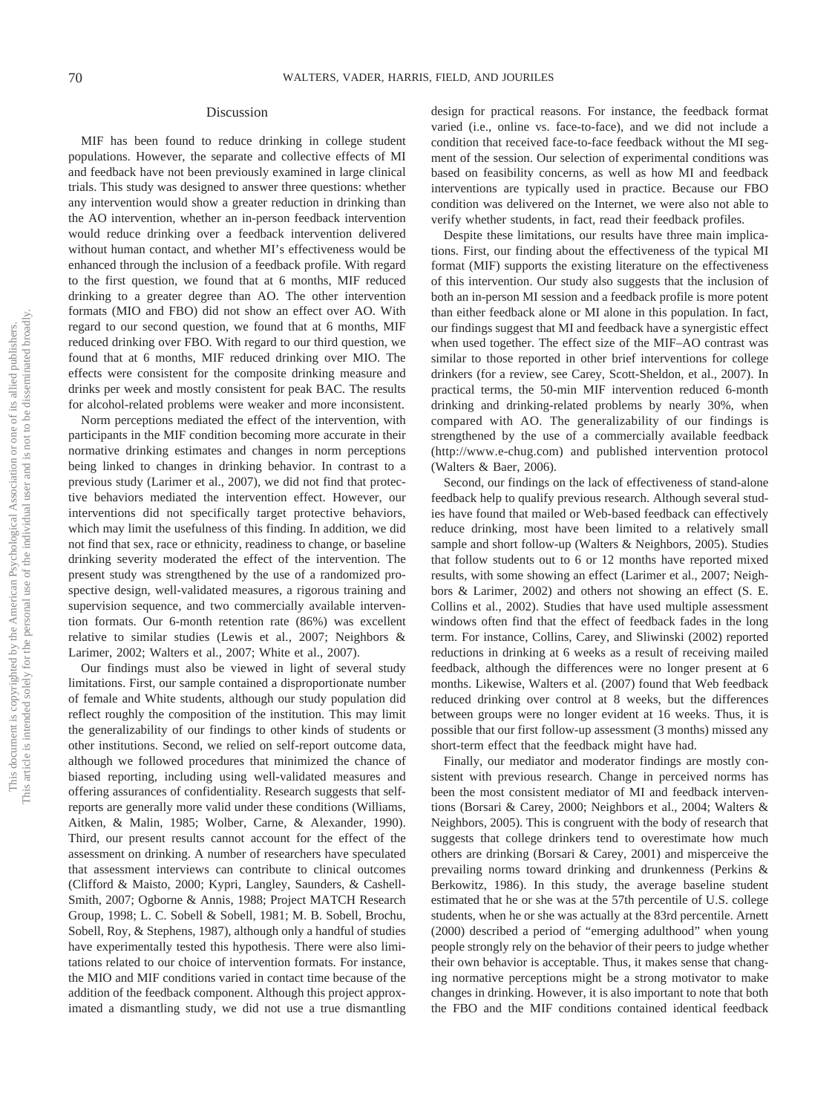# Discussion

MIF has been found to reduce drinking in college student populations. However, the separate and collective effects of MI and feedback have not been previously examined in large clinical trials. This study was designed to answer three questions: whether any intervention would show a greater reduction in drinking than the AO intervention, whether an in-person feedback intervention would reduce drinking over a feedback intervention delivered without human contact, and whether MI's effectiveness would be enhanced through the inclusion of a feedback profile. With regard to the first question, we found that at 6 months, MIF reduced drinking to a greater degree than AO. The other intervention formats (MIO and FBO) did not show an effect over AO. With regard to our second question, we found that at 6 months, MIF reduced drinking over FBO. With regard to our third question, we found that at 6 months, MIF reduced drinking over MIO. The effects were consistent for the composite drinking measure and drinks per week and mostly consistent for peak BAC. The results for alcohol-related problems were weaker and more inconsistent.

Norm perceptions mediated the effect of the intervention, with participants in the MIF condition becoming more accurate in their normative drinking estimates and changes in norm perceptions being linked to changes in drinking behavior. In contrast to a previous study (Larimer et al., 2007), we did not find that protective behaviors mediated the intervention effect. However, our interventions did not specifically target protective behaviors, which may limit the usefulness of this finding. In addition, we did not find that sex, race or ethnicity, readiness to change, or baseline drinking severity moderated the effect of the intervention. The present study was strengthened by the use of a randomized prospective design, well-validated measures, a rigorous training and supervision sequence, and two commercially available intervention formats. Our 6-month retention rate (86%) was excellent relative to similar studies (Lewis et al., 2007; Neighbors & Larimer, 2002; Walters et al., 2007; White et al., 2007).

Our findings must also be viewed in light of several study limitations. First, our sample contained a disproportionate number of female and White students, although our study population did reflect roughly the composition of the institution. This may limit the generalizability of our findings to other kinds of students or other institutions. Second, we relied on self-report outcome data, although we followed procedures that minimized the chance of biased reporting, including using well-validated measures and offering assurances of confidentiality. Research suggests that selfreports are generally more valid under these conditions (Williams, Aitken, & Malin, 1985; Wolber, Carne, & Alexander, 1990). Third, our present results cannot account for the effect of the assessment on drinking. A number of researchers have speculated that assessment interviews can contribute to clinical outcomes (Clifford & Maisto, 2000; Kypri, Langley, Saunders, & Cashell-Smith, 2007; Ogborne & Annis, 1988; Project MATCH Research Group, 1998; L. C. Sobell & Sobell, 1981; M. B. Sobell, Brochu, Sobell, Roy, & Stephens, 1987), although only a handful of studies have experimentally tested this hypothesis. There were also limitations related to our choice of intervention formats. For instance, the MIO and MIF conditions varied in contact time because of the addition of the feedback component. Although this project approximated a dismantling study, we did not use a true dismantling design for practical reasons. For instance, the feedback format varied (i.e., online vs. face-to-face), and we did not include a condition that received face-to-face feedback without the MI segment of the session. Our selection of experimental conditions was based on feasibility concerns, as well as how MI and feedback interventions are typically used in practice. Because our FBO condition was delivered on the Internet, we were also not able to verify whether students, in fact, read their feedback profiles.

Despite these limitations, our results have three main implications. First, our finding about the effectiveness of the typical MI format (MIF) supports the existing literature on the effectiveness of this intervention. Our study also suggests that the inclusion of both an in-person MI session and a feedback profile is more potent than either feedback alone or MI alone in this population. In fact, our findings suggest that MI and feedback have a synergistic effect when used together. The effect size of the MIF–AO contrast was similar to those reported in other brief interventions for college drinkers (for a review, see Carey, Scott-Sheldon, et al., 2007). In practical terms, the 50-min MIF intervention reduced 6-month drinking and drinking-related problems by nearly 30%, when compared with AO. The generalizability of our findings is strengthened by the use of a commercially available feedback (http://www.e-chug.com) and published intervention protocol (Walters & Baer, 2006).

Second, our findings on the lack of effectiveness of stand-alone feedback help to qualify previous research. Although several studies have found that mailed or Web-based feedback can effectively reduce drinking, most have been limited to a relatively small sample and short follow-up (Walters & Neighbors, 2005). Studies that follow students out to 6 or 12 months have reported mixed results, with some showing an effect (Larimer et al., 2007; Neighbors & Larimer, 2002) and others not showing an effect (S. E. Collins et al., 2002). Studies that have used multiple assessment windows often find that the effect of feedback fades in the long term. For instance, Collins, Carey, and Sliwinski (2002) reported reductions in drinking at 6 weeks as a result of receiving mailed feedback, although the differences were no longer present at 6 months. Likewise, Walters et al. (2007) found that Web feedback reduced drinking over control at 8 weeks, but the differences between groups were no longer evident at 16 weeks. Thus, it is possible that our first follow-up assessment (3 months) missed any short-term effect that the feedback might have had.

Finally, our mediator and moderator findings are mostly consistent with previous research. Change in perceived norms has been the most consistent mediator of MI and feedback interventions (Borsari & Carey, 2000; Neighbors et al., 2004; Walters & Neighbors, 2005). This is congruent with the body of research that suggests that college drinkers tend to overestimate how much others are drinking (Borsari & Carey, 2001) and misperceive the prevailing norms toward drinking and drunkenness (Perkins & Berkowitz, 1986). In this study, the average baseline student estimated that he or she was at the 57th percentile of U.S. college students, when he or she was actually at the 83rd percentile. Arnett (2000) described a period of "emerging adulthood" when young people strongly rely on the behavior of their peers to judge whether their own behavior is acceptable. Thus, it makes sense that changing normative perceptions might be a strong motivator to make changes in drinking. However, it is also important to note that both the FBO and the MIF conditions contained identical feedback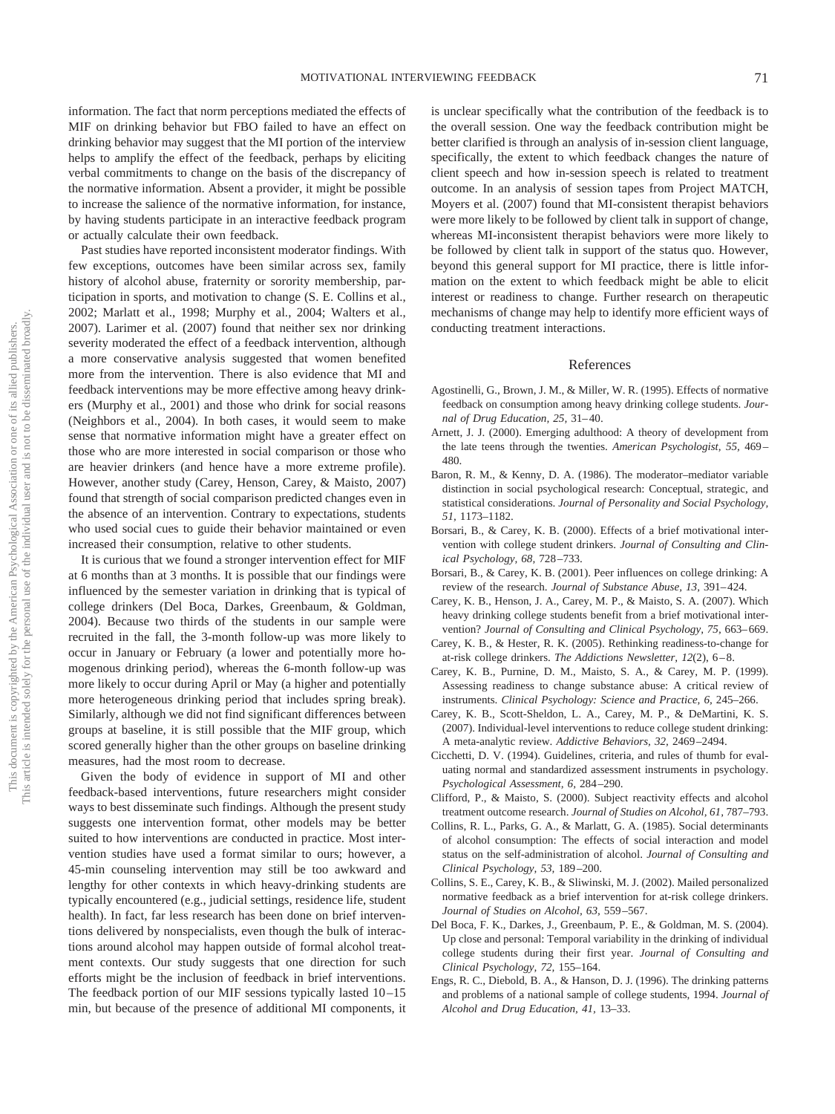information. The fact that norm perceptions mediated the effects of MIF on drinking behavior but FBO failed to have an effect on drinking behavior may suggest that the MI portion of the interview helps to amplify the effect of the feedback, perhaps by eliciting verbal commitments to change on the basis of the discrepancy of the normative information. Absent a provider, it might be possible to increase the salience of the normative information, for instance, by having students participate in an interactive feedback program or actually calculate their own feedback.

Past studies have reported inconsistent moderator findings. With few exceptions, outcomes have been similar across sex, family history of alcohol abuse, fraternity or sorority membership, participation in sports, and motivation to change (S. E. Collins et al., 2002; Marlatt et al., 1998; Murphy et al., 2004; Walters et al., 2007). Larimer et al. (2007) found that neither sex nor drinking severity moderated the effect of a feedback intervention, although a more conservative analysis suggested that women benefited more from the intervention. There is also evidence that MI and feedback interventions may be more effective among heavy drinkers (Murphy et al., 2001) and those who drink for social reasons (Neighbors et al., 2004). In both cases, it would seem to make sense that normative information might have a greater effect on those who are more interested in social comparison or those who are heavier drinkers (and hence have a more extreme profile). However, another study (Carey, Henson, Carey, & Maisto, 2007) found that strength of social comparison predicted changes even in the absence of an intervention. Contrary to expectations, students who used social cues to guide their behavior maintained or even increased their consumption, relative to other students.

It is curious that we found a stronger intervention effect for MIF at 6 months than at 3 months. It is possible that our findings were influenced by the semester variation in drinking that is typical of college drinkers (Del Boca, Darkes, Greenbaum, & Goldman, 2004). Because two thirds of the students in our sample were recruited in the fall, the 3-month follow-up was more likely to occur in January or February (a lower and potentially more homogenous drinking period), whereas the 6-month follow-up was more likely to occur during April or May (a higher and potentially more heterogeneous drinking period that includes spring break). Similarly, although we did not find significant differences between groups at baseline, it is still possible that the MIF group, which scored generally higher than the other groups on baseline drinking measures, had the most room to decrease.

Given the body of evidence in support of MI and other feedback-based interventions, future researchers might consider ways to best disseminate such findings. Although the present study suggests one intervention format, other models may be better suited to how interventions are conducted in practice. Most intervention studies have used a format similar to ours; however, a 45-min counseling intervention may still be too awkward and lengthy for other contexts in which heavy-drinking students are typically encountered (e.g., judicial settings, residence life, student health). In fact, far less research has been done on brief interventions delivered by nonspecialists, even though the bulk of interactions around alcohol may happen outside of formal alcohol treatment contexts. Our study suggests that one direction for such efforts might be the inclusion of feedback in brief interventions. The feedback portion of our MIF sessions typically lasted  $10-15$ min, but because of the presence of additional MI components, it is unclear specifically what the contribution of the feedback is to the overall session. One way the feedback contribution might be better clarified is through an analysis of in-session client language, specifically, the extent to which feedback changes the nature of client speech and how in-session speech is related to treatment outcome. In an analysis of session tapes from Project MATCH, Moyers et al. (2007) found that MI-consistent therapist behaviors were more likely to be followed by client talk in support of change, whereas MI-inconsistent therapist behaviors were more likely to be followed by client talk in support of the status quo. However, beyond this general support for MI practice, there is little information on the extent to which feedback might be able to elicit interest or readiness to change. Further research on therapeutic mechanisms of change may help to identify more efficient ways of conducting treatment interactions.

#### References

- Agostinelli, G., Brown, J. M., & Miller, W. R. (1995). Effects of normative feedback on consumption among heavy drinking college students. *Journal of Drug Education, 25,* 31– 40.
- Arnett, J. J. (2000). Emerging adulthood: A theory of development from the late teens through the twenties. *American Psychologist, 55,* 469 – 480.
- Baron, R. M., & Kenny, D. A. (1986). The moderator–mediator variable distinction in social psychological research: Conceptual, strategic, and statistical considerations. *Journal of Personality and Social Psychology, 51,* 1173–1182.
- Borsari, B., & Carey, K. B. (2000). Effects of a brief motivational intervention with college student drinkers. *Journal of Consulting and Clinical Psychology, 68,* 728 –733.
- Borsari, B., & Carey, K. B. (2001). Peer influences on college drinking: A review of the research. *Journal of Substance Abuse*, 13, 391-424.
- Carey, K. B., Henson, J. A., Carey, M. P., & Maisto, S. A. (2007). Which heavy drinking college students benefit from a brief motivational intervention? *Journal of Consulting and Clinical Psychology, 75,* 663– 669.
- Carey, K. B., & Hester, R. K. (2005). Rethinking readiness-to-change for at-risk college drinkers. *The Addictions Newsletter, 12*(2), 6 – 8.
- Carey, K. B., Purnine, D. M., Maisto, S. A., & Carey, M. P. (1999). Assessing readiness to change substance abuse: A critical review of instruments. *Clinical Psychology: Science and Practice, 6,* 245–266.
- Carey, K. B., Scott-Sheldon, L. A., Carey, M. P., & DeMartini, K. S. (2007). Individual-level interventions to reduce college student drinking: A meta-analytic review. *Addictive Behaviors, 32,* 2469 –2494.
- Cicchetti, D. V. (1994). Guidelines, criteria, and rules of thumb for evaluating normal and standardized assessment instruments in psychology. *Psychological Assessment, 6,* 284 –290.
- Clifford, P., & Maisto, S. (2000). Subject reactivity effects and alcohol treatment outcome research. *Journal of Studies on Alcohol, 61,* 787–793.
- Collins, R. L., Parks, G. A., & Marlatt, G. A. (1985). Social determinants of alcohol consumption: The effects of social interaction and model status on the self-administration of alcohol. *Journal of Consulting and Clinical Psychology, 53,* 189 –200.
- Collins, S. E., Carey, K. B., & Sliwinski, M. J. (2002). Mailed personalized normative feedback as a brief intervention for at-risk college drinkers. *Journal of Studies on Alcohol, 63,* 559 –567.
- Del Boca, F. K., Darkes, J., Greenbaum, P. E., & Goldman, M. S. (2004). Up close and personal: Temporal variability in the drinking of individual college students during their first year. *Journal of Consulting and Clinical Psychology, 72,* 155–164.
- Engs, R. C., Diebold, B. A., & Hanson, D. J. (1996). The drinking patterns and problems of a national sample of college students, 1994. *Journal of Alcohol and Drug Education, 41,* 13–33.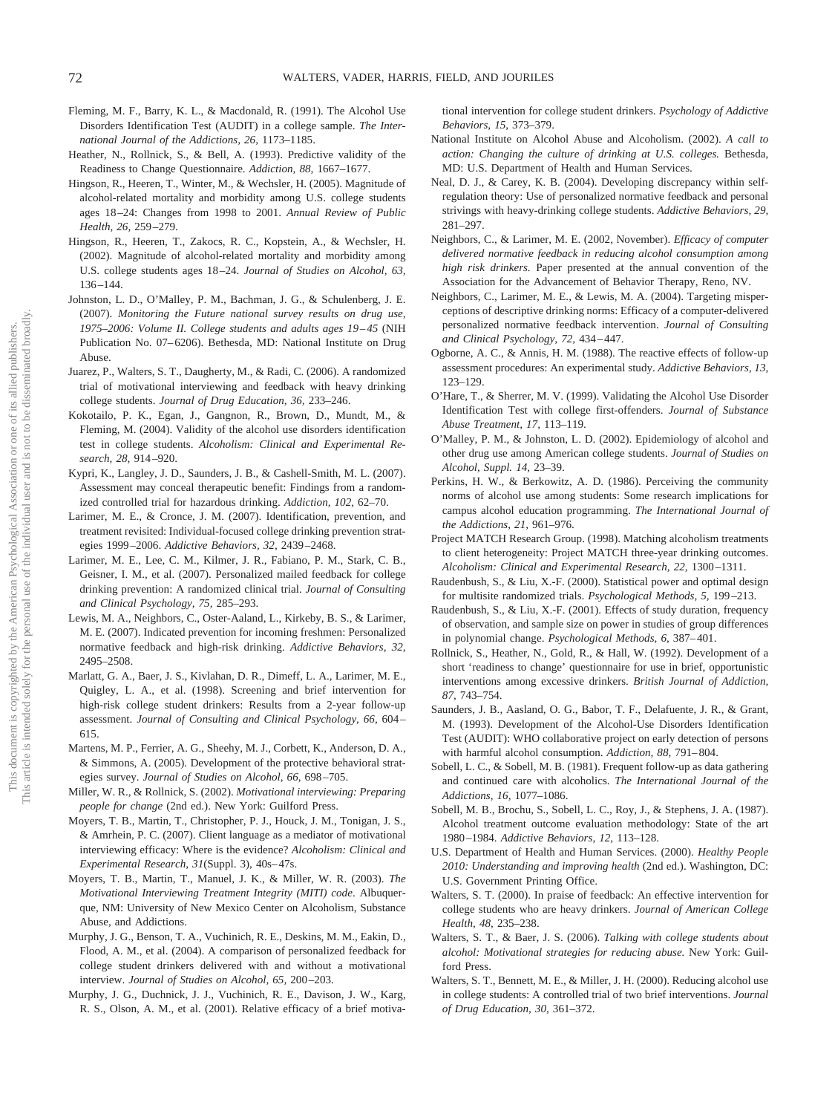- Fleming, M. F., Barry, K. L., & Macdonald, R. (1991). The Alcohol Use Disorders Identification Test (AUDIT) in a college sample. *The International Journal of the Addictions, 26,* 1173–1185.
- Heather, N., Rollnick, S., & Bell, A. (1993). Predictive validity of the Readiness to Change Questionnaire. *Addiction, 88,* 1667–1677.
- Hingson, R., Heeren, T., Winter, M., & Wechsler, H. (2005). Magnitude of alcohol-related mortality and morbidity among U.S. college students ages 18 –24: Changes from 1998 to 2001. *Annual Review of Public Health, 26,* 259 –279.
- Hingson, R., Heeren, T., Zakocs, R. C., Kopstein, A., & Wechsler, H. (2002). Magnitude of alcohol-related mortality and morbidity among U.S. college students ages 18 –24. *Journal of Studies on Alcohol, 63,* 136 –144.
- Johnston, L. D., O'Malley, P. M., Bachman, J. G., & Schulenberg, J. E. (2007). *Monitoring the Future national survey results on drug use, 1975*–*2006: Volume II. College students and adults ages 19 – 45* (NIH Publication No. 07–6206). Bethesda, MD: National Institute on Drug Abuse.
- Juarez, P., Walters, S. T., Daugherty, M., & Radi, C. (2006). A randomized trial of motivational interviewing and feedback with heavy drinking college students. *Journal of Drug Education, 36,* 233–246.
- Kokotailo, P. K., Egan, J., Gangnon, R., Brown, D., Mundt, M., & Fleming, M. (2004). Validity of the alcohol use disorders identification test in college students. *Alcoholism: Clinical and Experimental Research, 28,* 914 –920.
- Kypri, K., Langley, J. D., Saunders, J. B., & Cashell-Smith, M. L. (2007). Assessment may conceal therapeutic benefit: Findings from a randomized controlled trial for hazardous drinking. *Addiction, 102,* 62–70.
- Larimer, M. E., & Cronce, J. M. (2007). Identification, prevention, and treatment revisited: Individual-focused college drinking prevention strategies 1999 –2006. *Addictive Behaviors, 32,* 2439 –2468.
- Larimer, M. E., Lee, C. M., Kilmer, J. R., Fabiano, P. M., Stark, C. B., Geisner, I. M., et al. (2007). Personalized mailed feedback for college drinking prevention: A randomized clinical trial. *Journal of Consulting and Clinical Psychology, 75,* 285–293.
- Lewis, M. A., Neighbors, C., Oster-Aaland, L., Kirkeby, B. S., & Larimer, M. E. (2007). Indicated prevention for incoming freshmen: Personalized normative feedback and high-risk drinking. *Addictive Behaviors, 32,* 2495–2508.
- Marlatt, G. A., Baer, J. S., Kivlahan, D. R., Dimeff, L. A., Larimer, M. E., Quigley, L. A., et al. (1998). Screening and brief intervention for high-risk college student drinkers: Results from a 2-year follow-up assessment. *Journal of Consulting and Clinical Psychology, 66,* 604 – 615.
- Martens, M. P., Ferrier, A. G., Sheehy, M. J., Corbett, K., Anderson, D. A., & Simmons, A. (2005). Development of the protective behavioral strategies survey. *Journal of Studies on Alcohol, 66,* 698 –705.
- Miller, W. R., & Rollnick, S. (2002). *Motivational interviewing: Preparing people for change* (2nd ed.). New York: Guilford Press.
- Moyers, T. B., Martin, T., Christopher, P. J., Houck, J. M., Tonigan, J. S., & Amrhein, P. C. (2007). Client language as a mediator of motivational interviewing efficacy: Where is the evidence? *Alcoholism: Clinical and Experimental Research, 31*(Suppl. 3), 40s– 47s.
- Moyers, T. B., Martin, T., Manuel, J. K., & Miller, W. R. (2003). *The Motivational Interviewing Treatment Integrity (MITI) code*. Albuquerque, NM: University of New Mexico Center on Alcoholism, Substance Abuse, and Addictions.
- Murphy, J. G., Benson, T. A., Vuchinich, R. E., Deskins, M. M., Eakin, D., Flood, A. M., et al. (2004). A comparison of personalized feedback for college student drinkers delivered with and without a motivational interview. *Journal of Studies on Alcohol*, 65, 200-203.
- Murphy, J. G., Duchnick, J. J., Vuchinich, R. E., Davison, J. W., Karg, R. S., Olson, A. M., et al. (2001). Relative efficacy of a brief motiva-

tional intervention for college student drinkers. *Psychology of Addictive Behaviors, 15,* 373–379.

- National Institute on Alcohol Abuse and Alcoholism. (2002). *A call to action: Changing the culture of drinking at U.S. colleges.* Bethesda, MD: U.S. Department of Health and Human Services.
- Neal, D. J., & Carey, K. B. (2004). Developing discrepancy within selfregulation theory: Use of personalized normative feedback and personal strivings with heavy-drinking college students. *Addictive Behaviors, 29,* 281–297.
- Neighbors, C., & Larimer, M. E. (2002, November). *Efficacy of computer delivered normative feedback in reducing alcohol consumption among high risk drinkers.* Paper presented at the annual convention of the Association for the Advancement of Behavior Therapy, Reno, NV.
- Neighbors, C., Larimer, M. E., & Lewis, M. A. (2004). Targeting misperceptions of descriptive drinking norms: Efficacy of a computer-delivered personalized normative feedback intervention. *Journal of Consulting and Clinical Psychology, 72,* 434 – 447.
- Ogborne, A. C., & Annis, H. M. (1988). The reactive effects of follow-up assessment procedures: An experimental study. *Addictive Behaviors, 13,* 123–129.
- O'Hare, T., & Sherrer, M. V. (1999). Validating the Alcohol Use Disorder Identification Test with college first-offenders. *Journal of Substance Abuse Treatment, 17,* 113–119.
- O'Malley, P. M., & Johnston, L. D. (2002). Epidemiology of alcohol and other drug use among American college students. *Journal of Studies on Alcohol, Suppl. 14,* 23–39.
- Perkins, H. W., & Berkowitz, A. D. (1986). Perceiving the community norms of alcohol use among students: Some research implications for campus alcohol education programming. *The International Journal of the Addictions, 21,* 961–976.
- Project MATCH Research Group. (1998). Matching alcoholism treatments to client heterogeneity: Project MATCH three-year drinking outcomes. *Alcoholism: Clinical and Experimental Research, 22,* 1300 –1311.
- Raudenbush, S., & Liu, X.-F. (2000). Statistical power and optimal design for multisite randomized trials. *Psychological Methods, 5,* 199 –213.
- Raudenbush, S., & Liu, X.-F. (2001). Effects of study duration, frequency of observation, and sample size on power in studies of group differences in polynomial change. *Psychological Methods, 6,* 387– 401.
- Rollnick, S., Heather, N., Gold, R., & Hall, W. (1992). Development of a short 'readiness to change' questionnaire for use in brief, opportunistic interventions among excessive drinkers. *British Journal of Addiction, 87,* 743–754.
- Saunders, J. B., Aasland, O. G., Babor, T. F., Delafuente, J. R., & Grant, M. (1993). Development of the Alcohol-Use Disorders Identification Test (AUDIT): WHO collaborative project on early detection of persons with harmful alcohol consumption. *Addiction, 88,* 791– 804.
- Sobell, L. C., & Sobell, M. B. (1981). Frequent follow-up as data gathering and continued care with alcoholics. *The International Journal of the Addictions, 16,* 1077–1086.
- Sobell, M. B., Brochu, S., Sobell, L. C., Roy, J., & Stephens, J. A. (1987). Alcohol treatment outcome evaluation methodology: State of the art 1980 –1984. *Addictive Behaviors, 12,* 113–128.
- U.S. Department of Health and Human Services. (2000). *Healthy People 2010: Understanding and improving health* (2nd ed.). Washington, DC: U.S. Government Printing Office.
- Walters, S. T. (2000). In praise of feedback: An effective intervention for college students who are heavy drinkers. *Journal of American College Health, 48,* 235–238.
- Walters, S. T., & Baer, J. S. (2006). *Talking with college students about alcohol: Motivational strategies for reducing abuse.* New York: Guilford Press.
- Walters, S. T., Bennett, M. E., & Miller, J. H. (2000). Reducing alcohol use in college students: A controlled trial of two brief interventions. *Journal of Drug Education, 30,* 361–372.